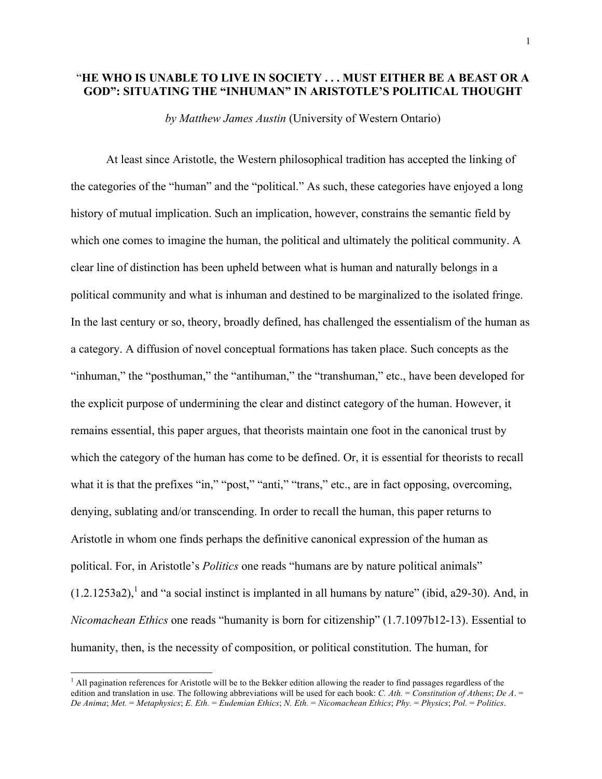## "**HE WHO IS UNABLE TO LIVE IN SOCIETY . . . MUST EITHER BE A BEAST OR A GOD": SITUATING THE "INHUMAN" IN ARISTOTLE'S POLITICAL THOUGHT**

*by Matthew James Austin* (University of Western Ontario)

At least since Aristotle, the Western philosophical tradition has accepted the linking of the categories of the "human" and the "political." As such, these categories have enjoyed a long history of mutual implication. Such an implication, however, constrains the semantic field by which one comes to imagine the human, the political and ultimately the political community. A clear line of distinction has been upheld between what is human and naturally belongs in a political community and what is inhuman and destined to be marginalized to the isolated fringe. In the last century or so, theory, broadly defined, has challenged the essentialism of the human as a category. A diffusion of novel conceptual formations has taken place. Such concepts as the "inhuman," the "posthuman," the "antihuman," the "transhuman," etc., have been developed for the explicit purpose of undermining the clear and distinct category of the human. However, it remains essential, this paper argues, that theorists maintain one foot in the canonical trust by which the category of the human has come to be defined. Or, it is essential for theorists to recall what it is that the prefixes "in," "post," "anti," "trans," etc., are in fact opposing, overcoming, denying, sublating and/or transcending. In order to recall the human, this paper returns to Aristotle in whom one finds perhaps the definitive canonical expression of the human as political. For, in Aristotle's *Politics* one reads "humans are by nature political animals"  $(1.2.1253a2)$ , and "a social instinct is implanted in all humans by nature" (ibid, a29-30). And, in *Nicomachean Ethics* one reads "humanity is born for citizenship" (1.7.1097b12-13). Essential to humanity, then, is the necessity of composition, or political constitution. The human, for

 $<sup>1</sup>$  All pagination references for Aristotle will be to the Bekker edition allowing the reader to find passages regardless of the</sup> edition and translation in use. The following abbreviations will be used for each book: *C. Ath.* = *Constitution of Athens*; *De A*. = De Anima; Met. = Metaphysics; E. Eth. = Eudemian Ethics; N. Eth. = Nicomachean Ethics; Phy. = Physics; Pol. = Politics.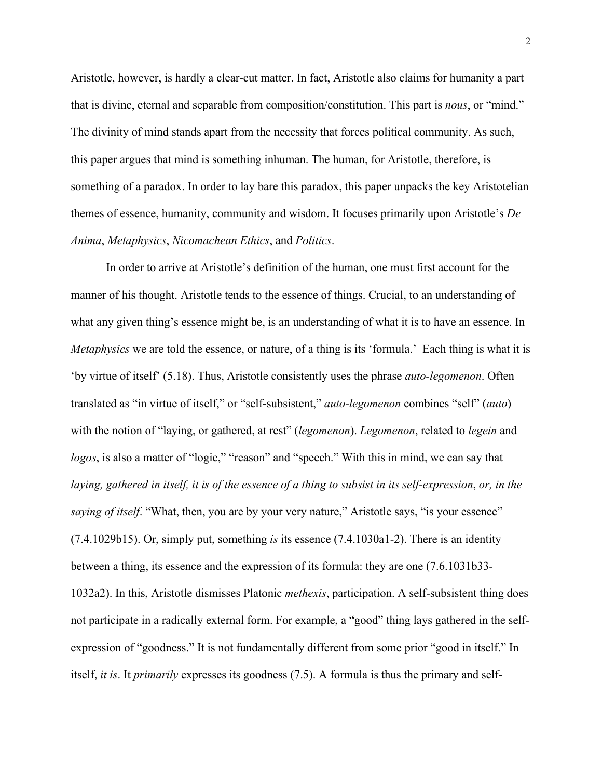Aristotle, however, is hardly a clear-cut matter. In fact, Aristotle also claims for humanity a part that is divine, eternal and separable from composition/constitution. This part is *nous*, or "mind." The divinity of mind stands apart from the necessity that forces political community. As such, this paper argues that mind is something inhuman. The human, for Aristotle, therefore, is something of a paradox. In order to lay bare this paradox, this paper unpacks the key Aristotelian themes of essence, humanity, community and wisdom. It focuses primarily upon Aristotle's *De Anima*, *Metaphysics*, *Nicomachean Ethics*, and *Politics*.

In order to arrive at Aristotle's definition of the human, one must first account for the manner of his thought. Aristotle tends to the essence of things. Crucial, to an understanding of what any given thing's essence might be, is an understanding of what it is to have an essence. In *Metaphysics* we are told the essence, or nature, of a thing is its 'formula.' Each thing is what it is 'by virtue of itself' (5.18). Thus, Aristotle consistently uses the phrase *auto-legomenon*. Often translated as "in virtue of itself," or "self-subsistent," *auto-legomenon* combines "self" (*auto*) with the notion of "laying, or gathered, at rest" (*legomenon*). *Legomenon*, related to *legein* and *logos*, is also a matter of "logic," "reason" and "speech." With this in mind, we can say that *laying, gathered in itself, it is of the essence of a thing to subsist in its self-expression*, *or, in the saying of itself.* "What, then, you are by your very nature," Aristotle says, "is your essence" (7.4.1029b15). Or, simply put, something *is* its essence (7.4.1030a1-2). There is an identity between a thing, its essence and the expression of its formula: they are one (7.6.1031b33- 1032a2). In this, Aristotle dismisses Platonic *methexis*, participation. A self-subsistent thing does not participate in a radically external form. For example, a "good" thing lays gathered in the selfexpression of "goodness." It is not fundamentally different from some prior "good in itself." In itself, *it is*. It *primarily* expresses its goodness (7.5). A formula is thus the primary and self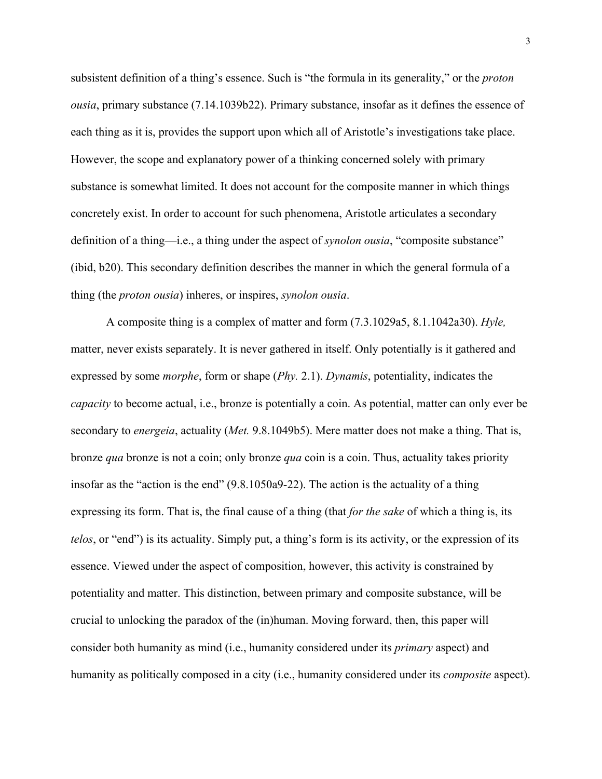subsistent definition of a thing's essence. Such is "the formula in its generality," or the *proton ousia*, primary substance (7.14.1039b22). Primary substance, insofar as it defines the essence of each thing as it is, provides the support upon which all of Aristotle's investigations take place. However, the scope and explanatory power of a thinking concerned solely with primary substance is somewhat limited. It does not account for the composite manner in which things concretely exist. In order to account for such phenomena, Aristotle articulates a secondary definition of a thing—i.e., a thing under the aspect of *synolon ousia*, "composite substance" (ibid, b20). This secondary definition describes the manner in which the general formula of a thing (the *proton ousia*) inheres, or inspires, *synolon ousia*.

A composite thing is a complex of matter and form (7.3.1029a5, 8.1.1042a30). *Hyle,*  matter, never exists separately. It is never gathered in itself. Only potentially is it gathered and expressed by some *morphe*, form or shape (*Phy.* 2.1). *Dynamis*, potentiality, indicates the *capacity* to become actual, i.e., bronze is potentially a coin. As potential, matter can only ever be secondary to *energeia*, actuality (*Met.* 9.8.1049b5). Mere matter does not make a thing. That is, bronze *qua* bronze is not a coin; only bronze *qua* coin is a coin. Thus, actuality takes priority insofar as the "action is the end" (9.8.1050a9-22). The action is the actuality of a thing expressing its form. That is, the final cause of a thing (that *for the sake* of which a thing is, its *telos*, or "end") is its actuality. Simply put, a thing's form is its activity, or the expression of its essence. Viewed under the aspect of composition, however, this activity is constrained by potentiality and matter. This distinction, between primary and composite substance, will be crucial to unlocking the paradox of the (in)human. Moving forward, then, this paper will consider both humanity as mind (i.e., humanity considered under its *primary* aspect) and humanity as politically composed in a city (i.e., humanity considered under its *composite* aspect).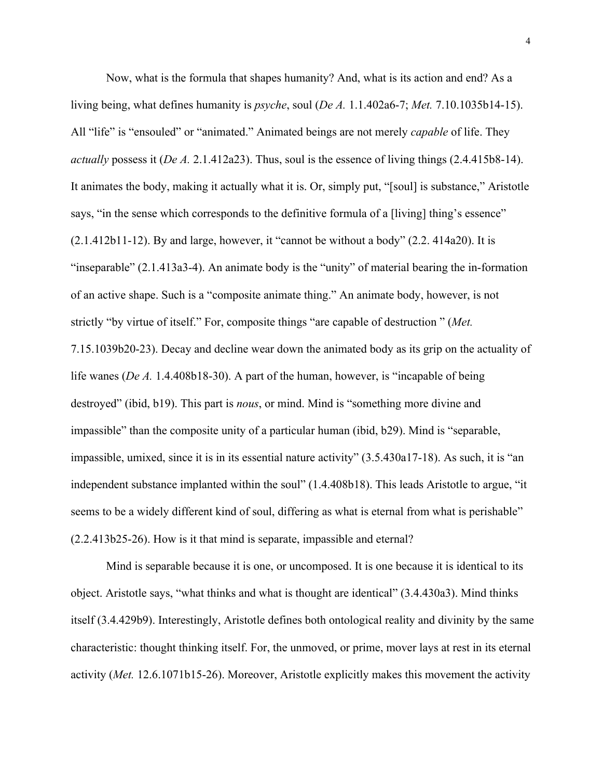Now, what is the formula that shapes humanity? And, what is its action and end? As a living being, what defines humanity is *psyche*, soul (*De A.* 1.1.402a6-7; *Met.* 7.10.1035b14-15). All "life" is "ensouled" or "animated." Animated beings are not merely *capable* of life. They *actually* possess it (*De A.* 2.1.412a23). Thus, soul is the essence of living things (2.4.415b8-14). It animates the body, making it actually what it is. Or, simply put, "[soul] is substance," Aristotle says, "in the sense which corresponds to the definitive formula of a [living] thing's essence"  $(2.1.412b11-12)$ . By and large, however, it "cannot be without a body"  $(2.2.414a20)$ . It is "inseparable" (2.1.413a3-4). An animate body is the "unity" of material bearing the in-formation of an active shape. Such is a "composite animate thing." An animate body, however, is not strictly "by virtue of itself." For, composite things "are capable of destruction " (*Met.* 7.15.1039b20-23). Decay and decline wear down the animated body as its grip on the actuality of life wanes (*De A.* 1.4.408b18-30). A part of the human, however, is "incapable of being destroyed" (ibid, b19). This part is *nous*, or mind. Mind is "something more divine and impassible" than the composite unity of a particular human (ibid, b29). Mind is "separable, impassible, umixed, since it is in its essential nature activity" (3.5.430a17-18). As such, it is "an independent substance implanted within the soul" (1.4.408b18). This leads Aristotle to argue, "it seems to be a widely different kind of soul, differing as what is eternal from what is perishable" (2.2.413b25-26). How is it that mind is separate, impassible and eternal?

Mind is separable because it is one, or uncomposed. It is one because it is identical to its object. Aristotle says, "what thinks and what is thought are identical" (3.4.430a3). Mind thinks itself (3.4.429b9). Interestingly, Aristotle defines both ontological reality and divinity by the same characteristic: thought thinking itself. For, the unmoved, or prime, mover lays at rest in its eternal activity (*Met.* 12.6.1071b15-26). Moreover, Aristotle explicitly makes this movement the activity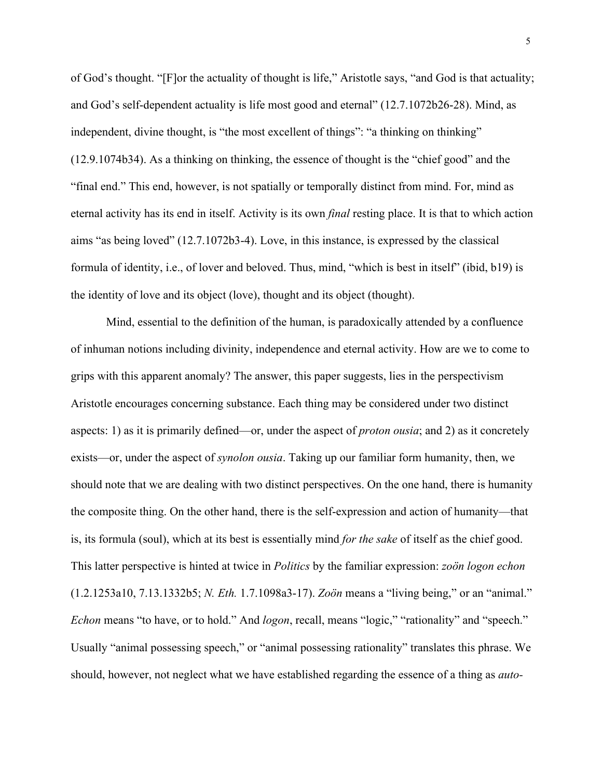of God's thought. "[F]or the actuality of thought is life," Aristotle says, "and God is that actuality; and God's self-dependent actuality is life most good and eternal" (12.7.1072b26-28). Mind, as independent, divine thought, is "the most excellent of things": "a thinking on thinking" (12.9.1074b34). As a thinking on thinking, the essence of thought is the "chief good" and the "final end." This end, however, is not spatially or temporally distinct from mind. For, mind as eternal activity has its end in itself. Activity is its own *final* resting place. It is that to which action aims "as being loved" (12.7.1072b3-4). Love, in this instance, is expressed by the classical formula of identity, i.e., of lover and beloved. Thus, mind, "which is best in itself" (ibid, b19) is the identity of love and its object (love), thought and its object (thought).

Mind, essential to the definition of the human, is paradoxically attended by a confluence of inhuman notions including divinity, independence and eternal activity. How are we to come to grips with this apparent anomaly? The answer, this paper suggests, lies in the perspectivism Aristotle encourages concerning substance. Each thing may be considered under two distinct aspects: 1) as it is primarily defined—or, under the aspect of *proton ousia*; and 2) as it concretely exists—or, under the aspect of *synolon ousia*. Taking up our familiar form humanity, then, we should note that we are dealing with two distinct perspectives. On the one hand, there is humanity the composite thing. On the other hand, there is the self-expression and action of humanity—that is, its formula (soul), which at its best is essentially mind *for the sake* of itself as the chief good. This latter perspective is hinted at twice in *Politics* by the familiar expression: *zoön logon echon* (1.2.1253a10, 7.13.1332b5; *N. Eth.* 1.7.1098a3-17). *Zoön* means a "living being," or an "animal." *Echon* means "to have, or to hold." And *logon*, recall, means "logic," "rationality" and "speech." Usually "animal possessing speech," or "animal possessing rationality" translates this phrase. We should, however, not neglect what we have established regarding the essence of a thing as *auto-*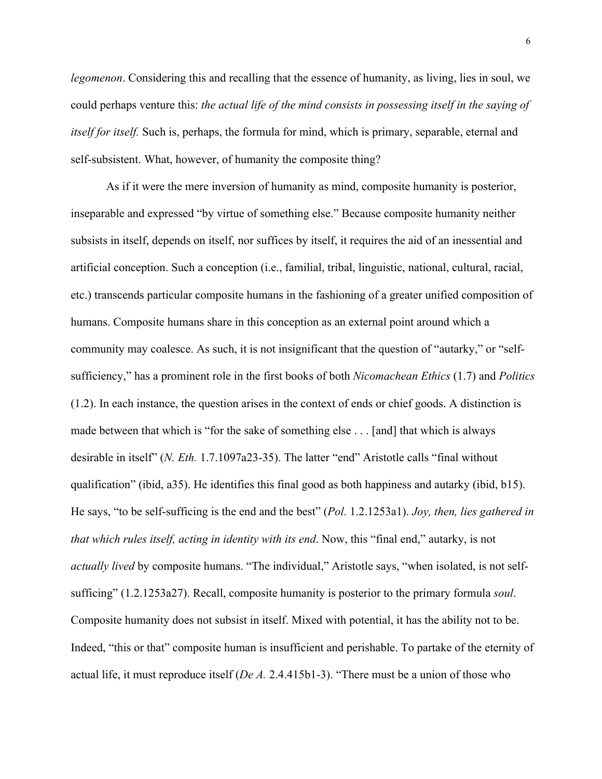*legomenon*. Considering this and recalling that the essence of humanity, as living, lies in soul, we could perhaps venture this: *the actual life of the mind consists in possessing itself in the saying of itself for itself.* Such is, perhaps, the formula for mind, which is primary, separable, eternal and self-subsistent. What, however, of humanity the composite thing?

As if it were the mere inversion of humanity as mind, composite humanity is posterior, inseparable and expressed "by virtue of something else." Because composite humanity neither subsists in itself, depends on itself, nor suffices by itself, it requires the aid of an inessential and artificial conception. Such a conception (i.e., familial, tribal, linguistic, national, cultural, racial, etc.) transcends particular composite humans in the fashioning of a greater unified composition of humans. Composite humans share in this conception as an external point around which a community may coalesce. As such, it is not insignificant that the question of "autarky," or "selfsufficiency," has a prominent role in the first books of both *Nicomachean Ethics* (1.7) and *Politics* (1.2). In each instance, the question arises in the context of ends or chief goods. A distinction is made between that which is "for the sake of something else . . . [and] that which is always desirable in itself" (*N. Eth.* 1.7.1097a23-35). The latter "end" Aristotle calls "final without qualification" (ibid, a35). He identifies this final good as both happiness and autarky (ibid, b15). He says, "to be self-sufficing is the end and the best" (*Pol.* 1.2.1253a1). *Joy, then, lies gathered in that which rules itself, acting in identity with its end*. Now, this "final end," autarky, is not *actually lived* by composite humans. "The individual," Aristotle says, "when isolated, is not selfsufficing" (1.2.1253a27). Recall, composite humanity is posterior to the primary formula *soul*. Composite humanity does not subsist in itself. Mixed with potential, it has the ability not to be. Indeed, "this or that" composite human is insufficient and perishable. To partake of the eternity of actual life, it must reproduce itself (*De A.* 2.4.415b1-3). "There must be a union of those who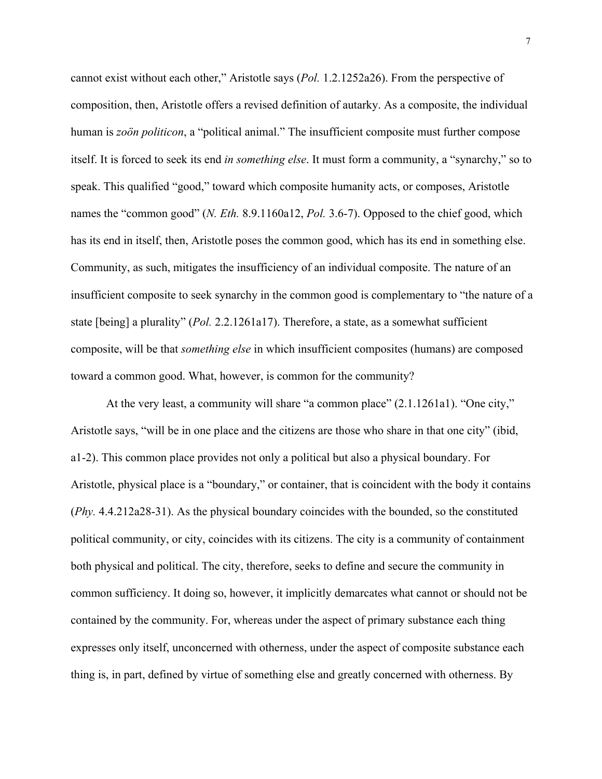cannot exist without each other," Aristotle says (*Pol.* 1.2.1252a26). From the perspective of composition, then, Aristotle offers a revised definition of autarky. As a composite, the individual human is *zoön politicon*, a "political animal." The insufficient composite must further compose itself. It is forced to seek its end *in something else*. It must form a community, a "synarchy," so to speak. This qualified "good," toward which composite humanity acts, or composes, Aristotle names the "common good" (*N. Eth.* 8.9.1160a12, *Pol.* 3.6-7). Opposed to the chief good, which has its end in itself, then, Aristotle poses the common good, which has its end in something else. Community, as such, mitigates the insufficiency of an individual composite. The nature of an insufficient composite to seek synarchy in the common good is complementary to "the nature of a state [being] a plurality" (*Pol.* 2.2.1261a17). Therefore, a state, as a somewhat sufficient composite, will be that *something else* in which insufficient composites (humans) are composed toward a common good. What, however, is common for the community?

At the very least, a community will share "a common place" (2.1.1261a1). "One city," Aristotle says, "will be in one place and the citizens are those who share in that one city" (ibid, a1-2). This common place provides not only a political but also a physical boundary. For Aristotle, physical place is a "boundary," or container, that is coincident with the body it contains (*Phy.* 4.4.212a28-31). As the physical boundary coincides with the bounded, so the constituted political community, or city, coincides with its citizens. The city is a community of containment both physical and political. The city, therefore, seeks to define and secure the community in common sufficiency. It doing so, however, it implicitly demarcates what cannot or should not be contained by the community. For, whereas under the aspect of primary substance each thing expresses only itself, unconcerned with otherness, under the aspect of composite substance each thing is, in part, defined by virtue of something else and greatly concerned with otherness. By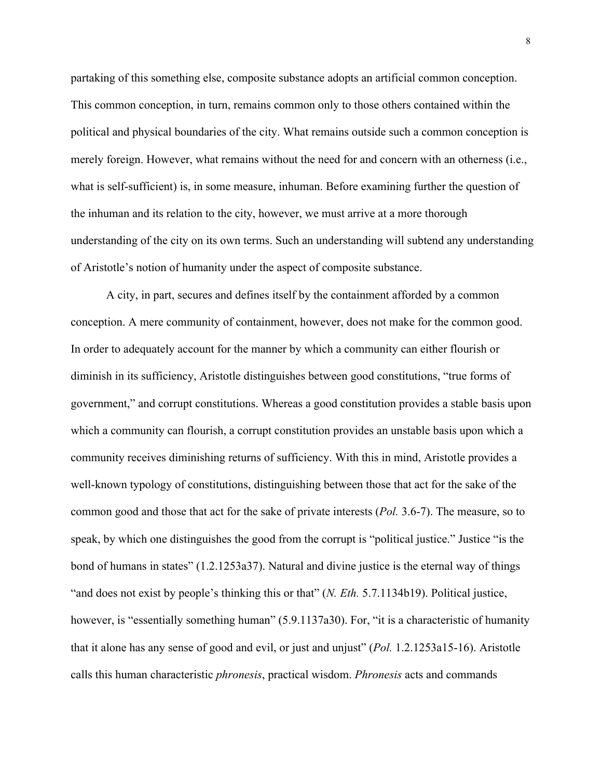partaking of this something else, composite substance adopts an artificial common conception. This common conception, in turn, remains common only to those others contained within the political and physical boundaries of the city. What remains outside such a common conception is merely foreign. However, what remains without the need for and concern with an otherness (i.e., what is self-sufficient) is, in some measure, inhuman. Before examining further the question of the inhuman and its relation to the city, however, we must arrive at a more thorough understanding of the city on its own terms. Such an understanding will subtend any understanding of Aristotle's notion of humanity under the aspect of composite substance.

A city, in part, secures and defines itself by the containment afforded by a common conception. A mere community of containment, however, does not make for the common good. In order to adequately account for the manner by which a community can either flourish or diminish in its sufficiency, Aristotle distinguishes between good constitutions, "true forms of government," and corrupt constitutions. Whereas a good constitution provides a stable basis upon which a community can flourish, a corrupt constitution provides an unstable basis upon which a community receives diminishing returns of sufficiency. With this in mind, Aristotle provides a well-known typology of constitutions, distinguishing between those that act for the sake of the common good and those that act for the sake of private interests (*Pol.* 3.6-7). The measure, so to speak, by which one distinguishes the good from the corrupt is "political justice." Justice "is the bond of humans in states" (1.2.1253a37). Natural and divine justice is the eternal way of things "and does not exist by people's thinking this or that" (*N. Eth.* 5.7.1134b19). Political justice, however, is "essentially something human" (5.9.1137a30). For, "it is a characteristic of humanity that it alone has any sense of good and evil, or just and unjust" (*Pol.* 1.2.1253a15-16). Aristotle calls this human characteristic *phronesis*, practical wisdom. *Phronesis* acts and commands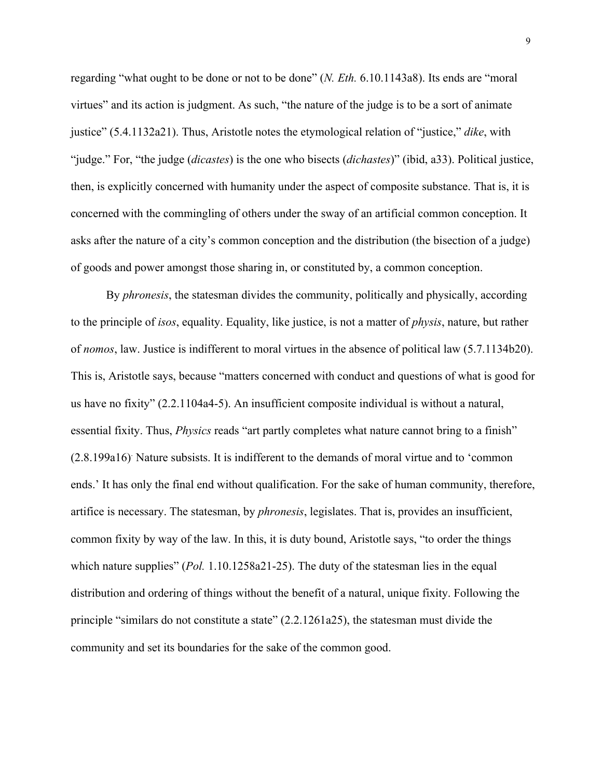regarding "what ought to be done or not to be done" (*N. Eth.* 6.10.1143a8). Its ends are "moral virtues" and its action is judgment. As such, "the nature of the judge is to be a sort of animate justice" (5.4.1132a21). Thus, Aristotle notes the etymological relation of "justice," *dike*, with "judge." For, "the judge (*dicastes*) is the one who bisects (*dichastes*)" (ibid, a33). Political justice, then, is explicitly concerned with humanity under the aspect of composite substance. That is, it is concerned with the commingling of others under the sway of an artificial common conception. It asks after the nature of a city's common conception and the distribution (the bisection of a judge) of goods and power amongst those sharing in, or constituted by, a common conception.

By *phronesis*, the statesman divides the community, politically and physically, according to the principle of *isos*, equality. Equality, like justice, is not a matter of *physis*, nature, but rather of *nomos*, law. Justice is indifferent to moral virtues in the absence of political law (5.7.1134b20). This is, Aristotle says, because "matters concerned with conduct and questions of what is good for us have no fixity" (2.2.1104a4-5). An insufficient composite individual is without a natural, essential fixity. Thus, *Physics* reads "art partly completes what nature cannot bring to a finish" (2.8.199a16). Nature subsists. It is indifferent to the demands of moral virtue and to 'common ends.' It has only the final end without qualification. For the sake of human community, therefore, artifice is necessary. The statesman, by *phronesis*, legislates. That is, provides an insufficient, common fixity by way of the law. In this, it is duty bound, Aristotle says, "to order the things which nature supplies" (*Pol.* 1.10.1258a21-25). The duty of the statesman lies in the equal distribution and ordering of things without the benefit of a natural, unique fixity. Following the principle "similars do not constitute a state" (2.2.1261a25), the statesman must divide the community and set its boundaries for the sake of the common good.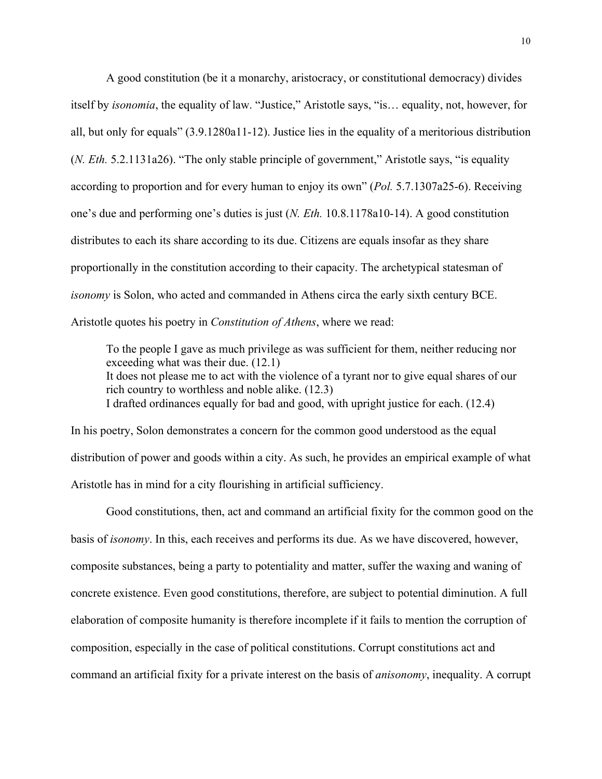A good constitution (be it a monarchy, aristocracy, or constitutional democracy) divides itself by *isonomia*, the equality of law. "Justice," Aristotle says, "is… equality, not, however, for all, but only for equals" (3.9.1280a11-12). Justice lies in the equality of a meritorious distribution (*N. Eth.* 5.2.1131a26). "The only stable principle of government," Aristotle says, "is equality according to proportion and for every human to enjoy its own" (*Pol.* 5.7.1307a25-6). Receiving one's due and performing one's duties is just (*N. Eth.* 10.8.1178a10-14). A good constitution distributes to each its share according to its due. Citizens are equals insofar as they share proportionally in the constitution according to their capacity. The archetypical statesman of *isonomy* is Solon, who acted and commanded in Athens circa the early sixth century BCE. Aristotle quotes his poetry in *Constitution of Athens*, where we read:

To the people I gave as much privilege as was sufficient for them, neither reducing nor exceeding what was their due. (12.1) It does not please me to act with the violence of a tyrant nor to give equal shares of our rich country to worthless and noble alike. (12.3) I drafted ordinances equally for bad and good, with upright justice for each. (12.4)

In his poetry, Solon demonstrates a concern for the common good understood as the equal distribution of power and goods within a city. As such, he provides an empirical example of what Aristotle has in mind for a city flourishing in artificial sufficiency.

Good constitutions, then, act and command an artificial fixity for the common good on the basis of *isonomy*. In this, each receives and performs its due. As we have discovered, however, composite substances, being a party to potentiality and matter, suffer the waxing and waning of concrete existence. Even good constitutions, therefore, are subject to potential diminution. A full elaboration of composite humanity is therefore incomplete if it fails to mention the corruption of composition, especially in the case of political constitutions. Corrupt constitutions act and command an artificial fixity for a private interest on the basis of *anisonomy*, inequality. A corrupt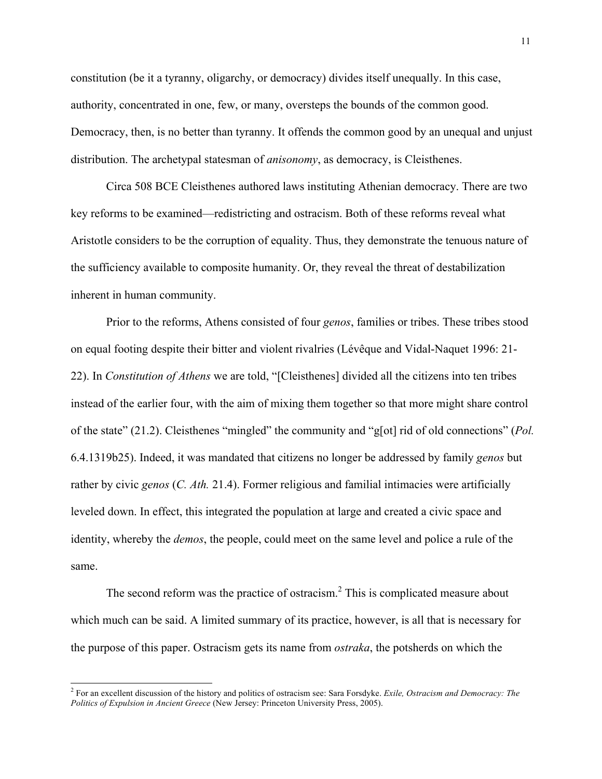constitution (be it a tyranny, oligarchy, or democracy) divides itself unequally. In this case, authority, concentrated in one, few, or many, oversteps the bounds of the common good. Democracy, then, is no better than tyranny. It offends the common good by an unequal and unjust distribution. The archetypal statesman of *anisonomy*, as democracy, is Cleisthenes.

Circa 508 BCE Cleisthenes authored laws instituting Athenian democracy. There are two key reforms to be examined—redistricting and ostracism. Both of these reforms reveal what Aristotle considers to be the corruption of equality. Thus, they demonstrate the tenuous nature of the sufficiency available to composite humanity. Or, they reveal the threat of destabilization inherent in human community.

Prior to the reforms, Athens consisted of four *genos*, families or tribes. These tribes stood on equal footing despite their bitter and violent rivalries (Lévêque and Vidal-Naquet 1996: 21- 22). In *Constitution of Athens* we are told, "[Cleisthenes] divided all the citizens into ten tribes instead of the earlier four, with the aim of mixing them together so that more might share control of the state" (21.2). Cleisthenes "mingled" the community and "g[ot] rid of old connections" (*Pol.*  6.4.1319b25). Indeed, it was mandated that citizens no longer be addressed by family *genos* but rather by civic *genos* (*C. Ath.* 21.4). Former religious and familial intimacies were artificially leveled down. In effect, this integrated the population at large and created a civic space and identity, whereby the *demos*, the people, could meet on the same level and police a rule of the same.

The second reform was the practice of ostracism. $<sup>2</sup>$  This is complicated measure about</sup> which much can be said. A limited summary of its practice, however, is all that is necessary for the purpose of this paper. Ostracism gets its name from *ostraka*, the potsherds on which the

 <sup>2</sup> For an excellent discussion of the history and politics of ostracism see: Sara Forsdyke. *Exile, Ostracism and Democracy: The Politics of Expulsion in Ancient Greece* (New Jersey: Princeton University Press, 2005).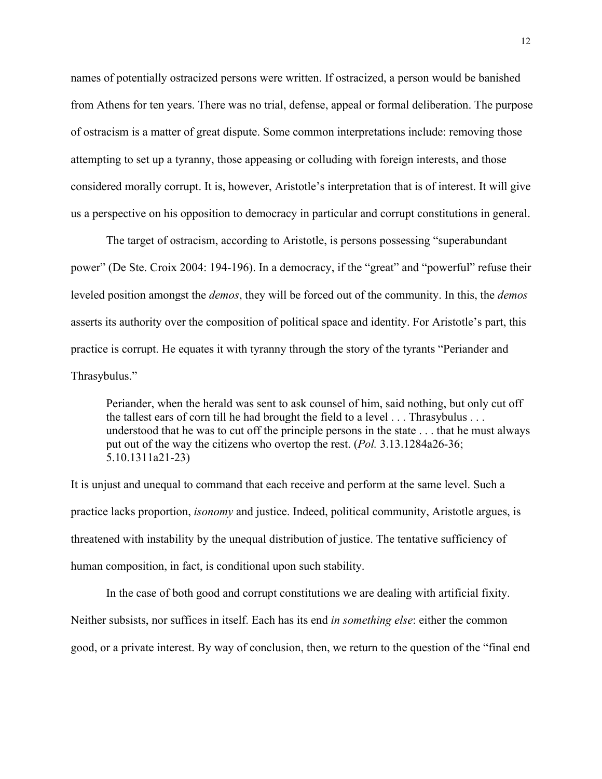names of potentially ostracized persons were written. If ostracized, a person would be banished from Athens for ten years. There was no trial, defense, appeal or formal deliberation. The purpose of ostracism is a matter of great dispute. Some common interpretations include: removing those attempting to set up a tyranny, those appeasing or colluding with foreign interests, and those considered morally corrupt. It is, however, Aristotle's interpretation that is of interest. It will give us a perspective on his opposition to democracy in particular and corrupt constitutions in general.

The target of ostracism, according to Aristotle, is persons possessing "superabundant power" (De Ste. Croix 2004: 194-196). In a democracy, if the "great" and "powerful" refuse their leveled position amongst the *demos*, they will be forced out of the community. In this, the *demos* asserts its authority over the composition of political space and identity. For Aristotle's part, this practice is corrupt. He equates it with tyranny through the story of the tyrants "Periander and Thrasybulus."

Periander, when the herald was sent to ask counsel of him, said nothing, but only cut off the tallest ears of corn till he had brought the field to a level . . . Thrasybulus . . . understood that he was to cut off the principle persons in the state . . . that he must always put out of the way the citizens who overtop the rest. (*Pol.* 3.13.1284a26-36; 5.10.1311a21-23)

It is unjust and unequal to command that each receive and perform at the same level. Such a practice lacks proportion, *isonomy* and justice. Indeed, political community, Aristotle argues, is threatened with instability by the unequal distribution of justice. The tentative sufficiency of human composition, in fact, is conditional upon such stability.

In the case of both good and corrupt constitutions we are dealing with artificial fixity. Neither subsists, nor suffices in itself. Each has its end *in something else*: either the common good, or a private interest. By way of conclusion, then, we return to the question of the "final end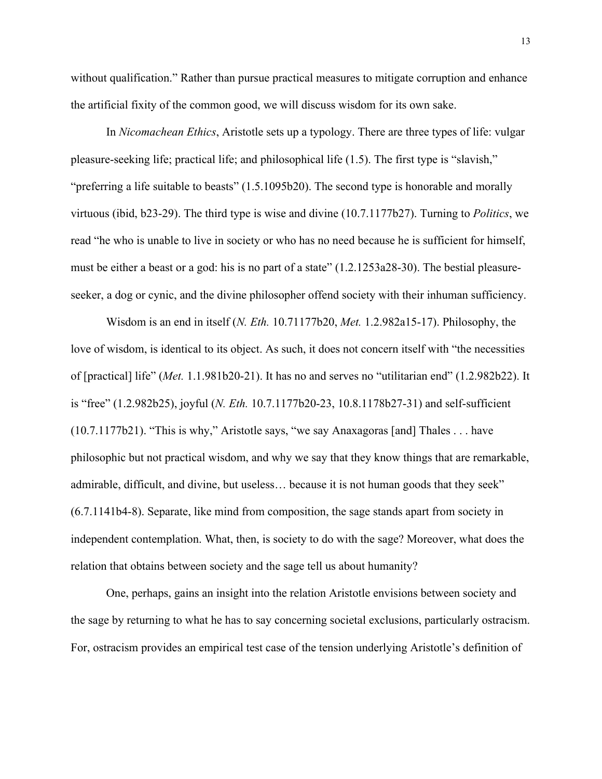without qualification." Rather than pursue practical measures to mitigate corruption and enhance the artificial fixity of the common good, we will discuss wisdom for its own sake.

In *Nicomachean Ethics*, Aristotle sets up a typology. There are three types of life: vulgar pleasure-seeking life; practical life; and philosophical life (1.5). The first type is "slavish," "preferring a life suitable to beasts" (1.5.1095b20). The second type is honorable and morally virtuous (ibid, b23-29). The third type is wise and divine (10.7.1177b27). Turning to *Politics*, we read "he who is unable to live in society or who has no need because he is sufficient for himself, must be either a beast or a god: his is no part of a state" (1.2.1253a28-30). The bestial pleasureseeker, a dog or cynic, and the divine philosopher offend society with their inhuman sufficiency.

Wisdom is an end in itself (*N. Eth.* 10.71177b20, *Met.* 1.2.982a15-17). Philosophy, the love of wisdom, is identical to its object. As such, it does not concern itself with "the necessities of [practical] life" (*Met.* 1.1.981b20-21). It has no and serves no "utilitarian end" (1.2.982b22). It is "free" (1.2.982b25), joyful (*N. Eth.* 10.7.1177b20-23, 10.8.1178b27-31) and self-sufficient (10.7.1177b21). "This is why," Aristotle says, "we say Anaxagoras [and] Thales . . . have philosophic but not practical wisdom, and why we say that they know things that are remarkable, admirable, difficult, and divine, but useless… because it is not human goods that they seek" (6.7.1141b4-8). Separate, like mind from composition, the sage stands apart from society in independent contemplation. What, then, is society to do with the sage? Moreover, what does the relation that obtains between society and the sage tell us about humanity?

One, perhaps, gains an insight into the relation Aristotle envisions between society and the sage by returning to what he has to say concerning societal exclusions, particularly ostracism. For, ostracism provides an empirical test case of the tension underlying Aristotle's definition of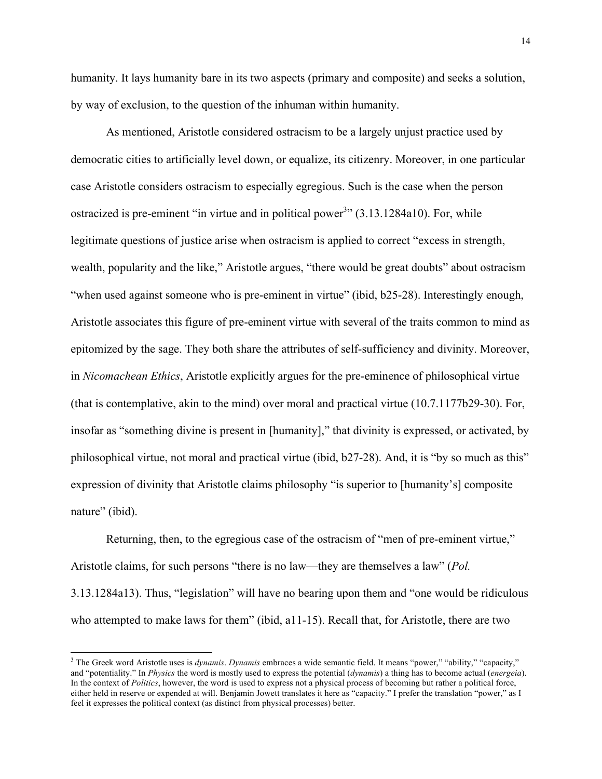humanity. It lays humanity bare in its two aspects (primary and composite) and seeks a solution, by way of exclusion, to the question of the inhuman within humanity.

As mentioned, Aristotle considered ostracism to be a largely unjust practice used by democratic cities to artificially level down, or equalize, its citizenry. Moreover, in one particular case Aristotle considers ostracism to especially egregious. Such is the case when the person ostracized is pre-eminent "in virtue and in political power<sup>3</sup>"  $(3.13.1284a10)$ . For, while legitimate questions of justice arise when ostracism is applied to correct "excess in strength, wealth, popularity and the like," Aristotle argues, "there would be great doubts" about ostracism "when used against someone who is pre-eminent in virtue" (ibid, b25-28). Interestingly enough, Aristotle associates this figure of pre-eminent virtue with several of the traits common to mind as epitomized by the sage. They both share the attributes of self-sufficiency and divinity. Moreover, in *Nicomachean Ethics*, Aristotle explicitly argues for the pre-eminence of philosophical virtue (that is contemplative, akin to the mind) over moral and practical virtue (10.7.1177b29-30). For, insofar as "something divine is present in [humanity]," that divinity is expressed, or activated, by philosophical virtue, not moral and practical virtue (ibid, b27-28). And, it is "by so much as this" expression of divinity that Aristotle claims philosophy "is superior to [humanity's] composite nature" (ibid).

Returning, then, to the egregious case of the ostracism of "men of pre-eminent virtue," Aristotle claims, for such persons "there is no law—they are themselves a law" (*Pol.* 3.13.1284a13). Thus, "legislation" will have no bearing upon them and "one would be ridiculous who attempted to make laws for them" (ibid, a11-15). Recall that, for Aristotle, there are two

 <sup>3</sup> The Greek word Aristotle uses is *dynamis*. *Dynamis* embraces <sup>a</sup> wide semantic field. It means "power," "ability," "capacity," and "potentiality." In *Physics* the word is mostly used to express the potential (*dynamis*) a thing has to become actual (*energeia*). In the context of *Politics*, however, the word is used to express not a physical process of becoming but rather a political force, either held in reserve or expended at will. Benjamin Jowett translates it here as "capacity." I prefer the translation "power," as I feel it expresses the political context (as distinct from physical processes) better.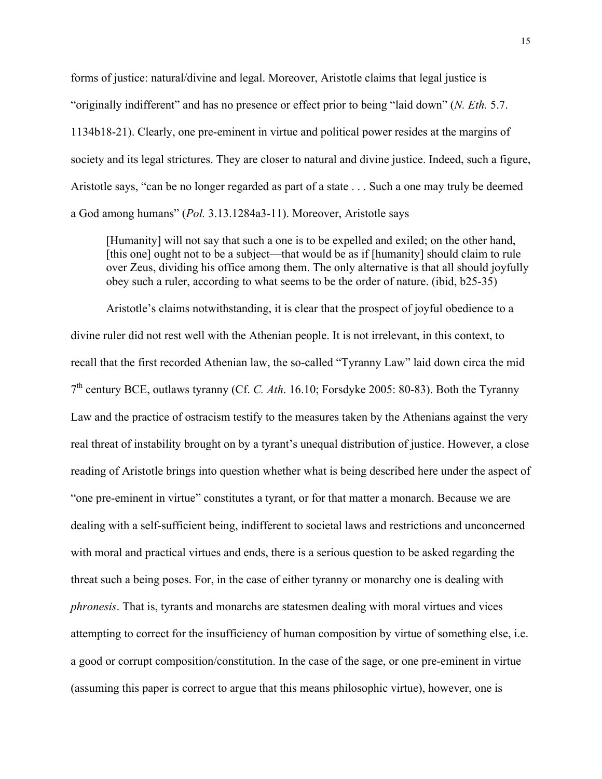forms of justice: natural/divine and legal. Moreover, Aristotle claims that legal justice is "originally indifferent" and has no presence or effect prior to being "laid down" (*N. Eth.* 5.7. 1134b18-21). Clearly, one pre-eminent in virtue and political power resides at the margins of society and its legal strictures. They are closer to natural and divine justice. Indeed, such a figure, Aristotle says, "can be no longer regarded as part of a state . . . Such a one may truly be deemed a God among humans" (*Pol.* 3.13.1284a3-11). Moreover, Aristotle says

[Humanity] will not say that such a one is to be expelled and exiled; on the other hand, [this one] ought not to be a subject—that would be as if [humanity] should claim to rule over Zeus, dividing his office among them. The only alternative is that all should joyfully obey such a ruler, according to what seems to be the order of nature. (ibid, b25-35)

Aristotle's claims notwithstanding, it is clear that the prospect of joyful obedience to a divine ruler did not rest well with the Athenian people. It is not irrelevant, in this context, to recall that the first recorded Athenian law, the so-called "Tyranny Law" laid down circa the mid 7th century BCE, outlaws tyranny (Cf. *C. Ath*. 16.10; Forsdyke 2005: 80-83). Both the Tyranny Law and the practice of ostracism testify to the measures taken by the Athenians against the very real threat of instability brought on by a tyrant's unequal distribution of justice. However, a close reading of Aristotle brings into question whether what is being described here under the aspect of "one pre-eminent in virtue" constitutes a tyrant, or for that matter a monarch. Because we are dealing with a self-sufficient being, indifferent to societal laws and restrictions and unconcerned with moral and practical virtues and ends, there is a serious question to be asked regarding the threat such a being poses. For, in the case of either tyranny or monarchy one is dealing with *phronesis*. That is, tyrants and monarchs are statesmen dealing with moral virtues and vices attempting to correct for the insufficiency of human composition by virtue of something else, i.e. a good or corrupt composition/constitution. In the case of the sage, or one pre-eminent in virtue (assuming this paper is correct to argue that this means philosophic virtue), however, one is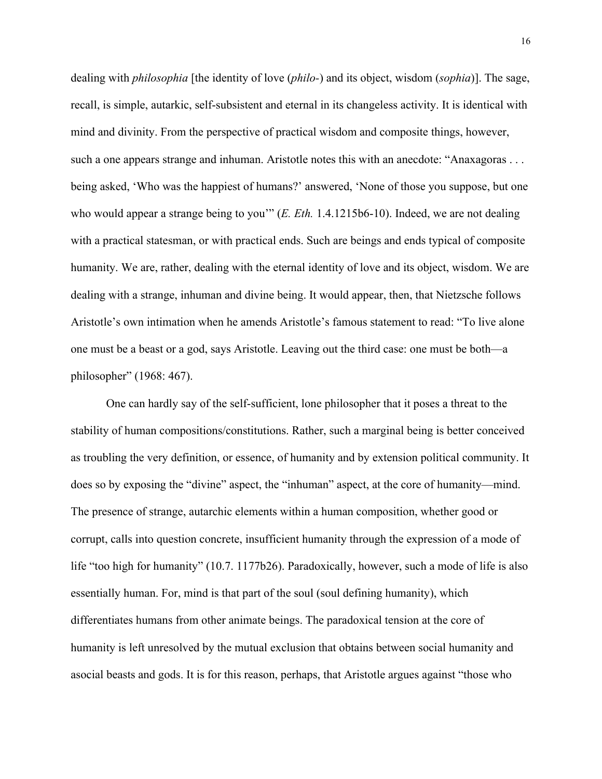dealing with *philosophia* [the identity of love (*philo-*) and its object, wisdom (*sophia*)]. The sage, recall, is simple, autarkic, self-subsistent and eternal in its changeless activity. It is identical with mind and divinity. From the perspective of practical wisdom and composite things, however, such a one appears strange and inhuman. Aristotle notes this with an anecdote: "Anaxagoras . . . being asked, 'Who was the happiest of humans?' answered, 'None of those you suppose, but one who would appear a strange being to you'" (*E. Eth.* 1.4.1215b6-10). Indeed, we are not dealing with a practical statesman, or with practical ends. Such are beings and ends typical of composite humanity. We are, rather, dealing with the eternal identity of love and its object, wisdom. We are dealing with a strange, inhuman and divine being. It would appear, then, that Nietzsche follows Aristotle's own intimation when he amends Aristotle's famous statement to read: "To live alone one must be a beast or a god, says Aristotle. Leaving out the third case: one must be both—a philosopher" (1968: 467).

One can hardly say of the self-sufficient, lone philosopher that it poses a threat to the stability of human compositions/constitutions. Rather, such a marginal being is better conceived as troubling the very definition, or essence, of humanity and by extension political community. It does so by exposing the "divine" aspect, the "inhuman" aspect, at the core of humanity—mind. The presence of strange, autarchic elements within a human composition, whether good or corrupt, calls into question concrete, insufficient humanity through the expression of a mode of life "too high for humanity" (10.7. 1177b26). Paradoxically, however, such a mode of life is also essentially human. For, mind is that part of the soul (soul defining humanity), which differentiates humans from other animate beings. The paradoxical tension at the core of humanity is left unresolved by the mutual exclusion that obtains between social humanity and asocial beasts and gods. It is for this reason, perhaps, that Aristotle argues against "those who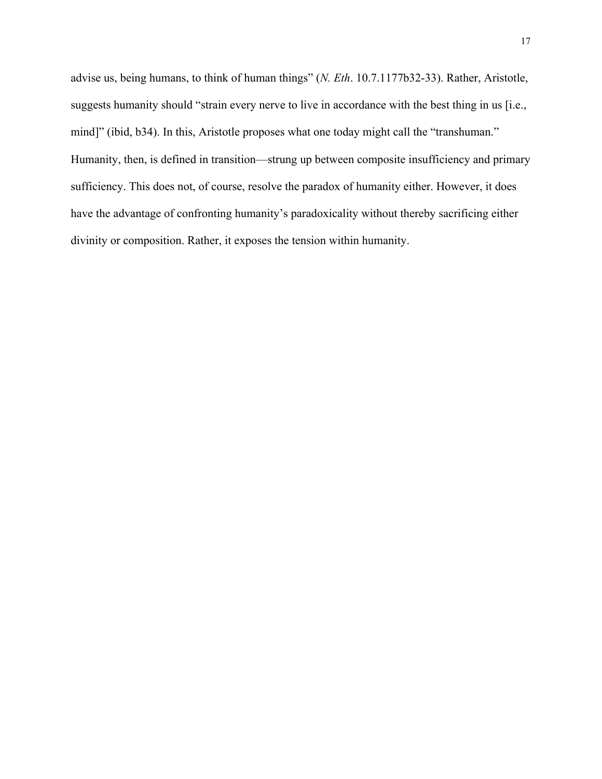advise us, being humans, to think of human things" (*N. Eth*. 10.7.1177b32-33). Rather, Aristotle, suggests humanity should "strain every nerve to live in accordance with the best thing in us [i.e., mind]" (ibid, b34). In this, Aristotle proposes what one today might call the "transhuman." Humanity, then, is defined in transition—strung up between composite insufficiency and primary sufficiency. This does not, of course, resolve the paradox of humanity either. However, it does have the advantage of confronting humanity's paradoxicality without thereby sacrificing either divinity or composition. Rather, it exposes the tension within humanity.